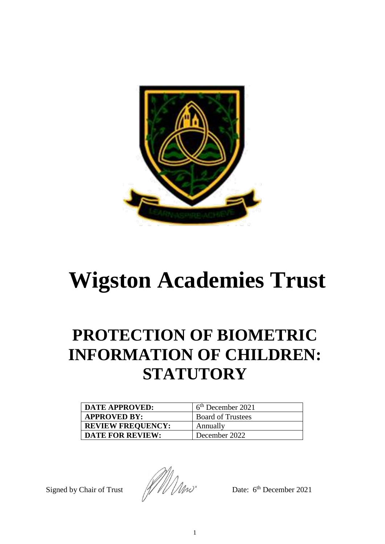

# **Wigston Academies Trust**

# **PROTECTION OF BIOMETRIC INFORMATION OF CHILDREN: STATUTORY**

| <b>DATE APPROVED:</b>    | $6th$ December 2021      |
|--------------------------|--------------------------|
| <b>APPROVED BY:</b>      | <b>Board of Trustees</b> |
| <b>REVIEW FREQUENCY:</b> | Annually                 |
| <b>DATE FOR REVIEW:</b>  | December 2022            |

Signed by Chair of Trust $\frac{1}{2}$   $\frac{1}{2}$   $\frac{1}{2}$   $\frac{1}{2}$   $\frac{1}{2}$   $\frac{1}{2}$   $\frac{1}{2}$   $\frac{1}{2}$   $\frac{1}{2}$   $\frac{1}{2}$   $\frac{1}{2}$   $\frac{1}{2}$   $\frac{1}{2}$   $\frac{1}{2}$   $\frac{1}{2}$   $\frac{1}{2}$   $\frac{1}{2}$   $\frac{1}{2}$   $\frac{1}{2}$   $\frac{1}{2$ 

Date: 6<sup>th</sup> December 2021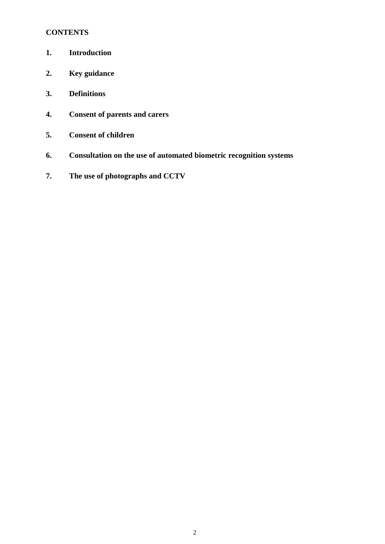# **CONTENTS**

- **1. Introduction**
- **2. Key guidance**
- **3. Definitions**
- **4. Consent of parents and carers**
- **5. Consent of children**
- **6. Consultation on the use of automated biometric recognition systems**
- **7. The use of photographs and CCTV**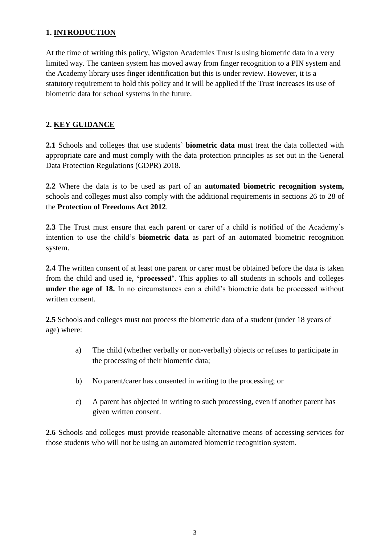#### **1. INTRODUCTION**

At the time of writing this policy, Wigston Academies Trust is using biometric data in a very limited way. The canteen system has moved away from finger recognition to a PIN system and the Academy library uses finger identification but this is under review. However, it is a statutory requirement to hold this policy and it will be applied if the Trust increases its use of biometric data for school systems in the future.

# **2. KEY GUIDANCE**

**2.1** Schools and colleges that use students' **biometric data** must treat the data collected with appropriate care and must comply with the data protection principles as set out in the General Data Protection Regulations (GDPR) 2018.

**2.2** Where the data is to be used as part of an **automated biometric recognition system,**  schools and colleges must also comply with the additional requirements in sections 26 to 28 of the **Protection of Freedoms Act 2012**.

**2.3** The Trust must ensure that each parent or carer of a child is notified of the Academy's intention to use the child's **biometric data** as part of an automated biometric recognition system.

**2.4** The written consent of at least one parent or carer must be obtained before the data is taken from the child and used ie, **'processed'**. This applies to all students in schools and colleges **under the age of 18.** In no circumstances can a child's biometric data be processed without written consent.

**2.5** Schools and colleges must not process the biometric data of a student (under 18 years of age) where:

- a) The child (whether verbally or non-verbally) objects or refuses to participate in the processing of their biometric data;
- b) No parent/carer has consented in writing to the processing; or
- c) A parent has objected in writing to such processing, even if another parent has given written consent.

**2.6** Schools and colleges must provide reasonable alternative means of accessing services for those students who will not be using an automated biometric recognition system.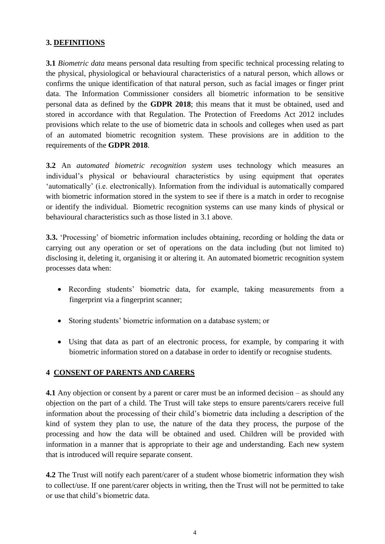#### **3. DEFINITIONS**

**3.1** *Biometric data* means personal data resulting from specific technical processing relating to the physical, physiological or behavioural characteristics of a natural person, which allows or confirms the unique identification of that natural person, such as facial images or finger print data. The Information Commissioner considers all biometric information to be sensitive personal data as defined by the **GDPR 2018**; this means that it must be obtained, used and stored in accordance with that Regulation. The Protection of Freedoms Act 2012 includes provisions which relate to the use of biometric data in schools and colleges when used as part of an automated biometric recognition system. These provisions are in addition to the requirements of the **GDPR 2018**.

**3.2** An *automated biometric recognition system* uses technology which measures an individual's physical or behavioural characteristics by using equipment that operates 'automatically' (i.e. electronically). Information from the individual is automatically compared with biometric information stored in the system to see if there is a match in order to recognise or identify the individual. Biometric recognition systems can use many kinds of physical or behavioural characteristics such as those listed in 3.1 above.

**3.3.** 'Processing' of biometric information includes obtaining, recording or holding the data or carrying out any operation or set of operations on the data including (but not limited to) disclosing it, deleting it, organising it or altering it. An automated biometric recognition system processes data when:

- Recording students' biometric data, for example, taking measurements from a fingerprint via a fingerprint scanner;
- Storing students' biometric information on a database system; or
- Using that data as part of an electronic process, for example, by comparing it with biometric information stored on a database in order to identify or recognise students.

#### **4 CONSENT OF PARENTS AND CARERS**

**4.1** Any objection or consent by a parent or carer must be an informed decision – as should any objection on the part of a child. The Trust will take steps to ensure parents/carers receive full information about the processing of their child's biometric data including a description of the kind of system they plan to use, the nature of the data they process, the purpose of the processing and how the data will be obtained and used. Children will be provided with information in a manner that is appropriate to their age and understanding. Each new system that is introduced will require separate consent.

**4.2** The Trust will notify each parent/carer of a student whose biometric information they wish to collect/use. If one parent/carer objects in writing, then the Trust will not be permitted to take or use that child's biometric data.